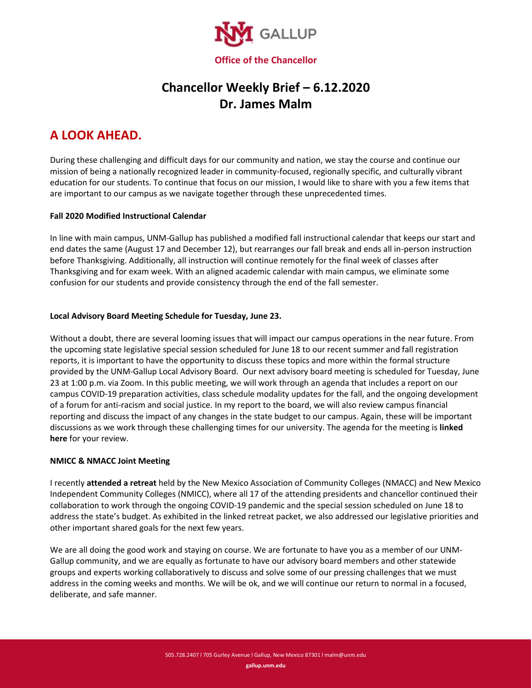

# **Chancellor Weekly Brief – 6.12.2020 Dr. James Malm**

# **A LOOK AHEAD.**

During these challenging and difficult days for our community and nation, we stay the course and continue our mission of being a nationally recognized leader in community-focused, regionally specific, and culturally vibrant education for our students. To continue that focus on our mission, I would like to share with you a few items that are important to our campus as we navigate together through these unprecedented times.

### **Fall 2020 Modified Instructional Calendar**

In line with main campus, UNM-Gallup has published a modified fall instructional calendar that keeps our start and end dates the same (August 17 and December 12), but rearranges our fall break and ends all in-person instruction before Thanksgiving. Additionally, all instruction will continue remotely for the final week of classes after Thanksgiving and for exam week. With an aligned academic calendar with main campus, we eliminate some confusion for our students and provide consistency through the end of the fall semester.

### **Local Advisory Board Meeting Schedule for Tuesday, June 23.**

Without a doubt, there are several looming issues that will impact our campus operations in the near future. From the upcoming state legislative special session scheduled for June 18 to our recent summer and fall registration reports, it is important to have the opportunity to discuss these topics and more within the formal structure provided by the UNM-Gallup Local Advisory Board. Our next advisory board meeting is scheduled for Tuesday, June 23 at 1:00 p.m. via Zoom. In this public meeting, we will work through an agenda that includes a report on our campus COVID-19 preparation activities, class schedule modality updates for the fall, and the ongoing development of a forum for anti-racism and social justice. In my report to the board, we will also review campus financial reporting and discuss the impact of any changes in the state budget to our campus. Again, these will be important discussions as we work through these challenging times for our university. The agenda for the meeting is **linked here** for your review.

#### **NMICC & NMACC Joint Meeting**

I recently **attended a retreat** held by the New Mexico Association of Community Colleges (NMACC) and New Mexico Independent Community Colleges (NMICC), where all 17 of the attending presidents and chancellor continued their collaboration to work through the ongoing COVID-19 pandemic and the special session scheduled on June 18 to address the state's budget. As exhibited in the linked retreat packet, we also addressed our legislative priorities and other important shared goals for the next few years.

We are all doing the good work and staying on course. We are fortunate to have you as a member of our UNM-Gallup community, and we are equally as fortunate to have our advisory board members and other statewide groups and experts working collaboratively to discuss and solve some of our pressing challenges that we must address in the coming weeks and months. We will be ok, and we will continue our return to normal in a focused, deliberate, and safe manner.